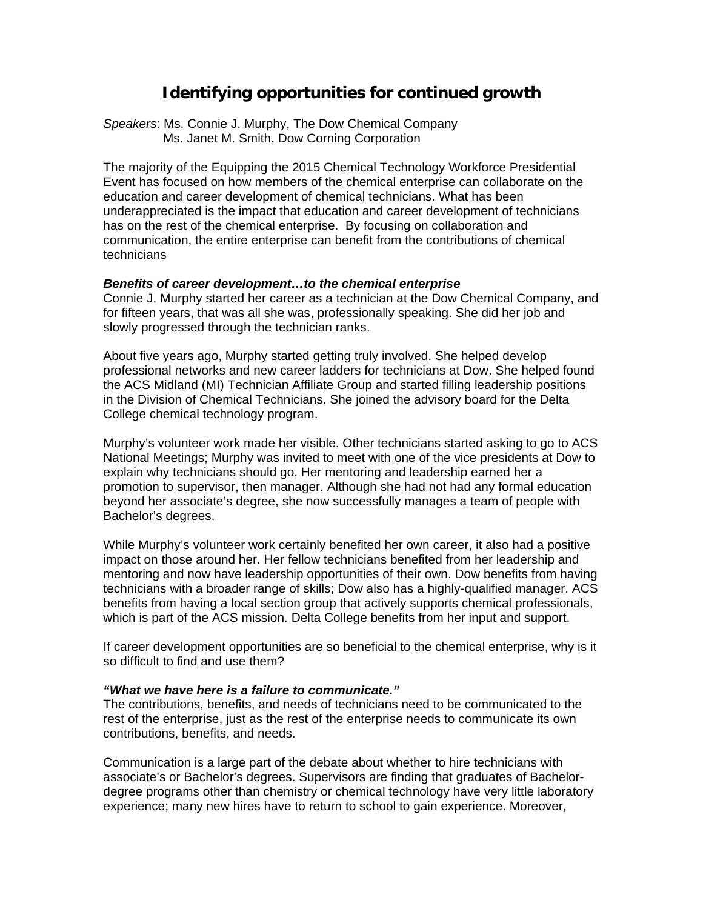# **Identifying opportunities for continued growth**

*Speakers*: Ms. Connie J. Murphy, The Dow Chemical Company Ms. Janet M. Smith, Dow Corning Corporation

The majority of the Equipping the 2015 Chemical Technology Workforce Presidential Event has focused on how members of the chemical enterprise can collaborate on the education and career development of chemical technicians. What has been underappreciated is the impact that education and career development of technicians has on the rest of the chemical enterprise. By focusing on collaboration and communication, the entire enterprise can benefit from the contributions of chemical technicians

### *Benefits of career development…to the chemical enterprise*

Connie J. Murphy started her career as a technician at the Dow Chemical Company, and for fifteen years, that was all she was, professionally speaking. She did her job and slowly progressed through the technician ranks.

About five years ago, Murphy started getting truly involved. She helped develop professional networks and new career ladders for technicians at Dow. She helped found the ACS Midland (MI) Technician Affiliate Group and started filling leadership positions in the Division of Chemical Technicians. She joined the advisory board for the Delta College chemical technology program.

Murphy's volunteer work made her visible. Other technicians started asking to go to ACS National Meetings; Murphy was invited to meet with one of the vice presidents at Dow to explain why technicians should go. Her mentoring and leadership earned her a promotion to supervisor, then manager. Although she had not had any formal education beyond her associate's degree, she now successfully manages a team of people with Bachelor's degrees.

While Murphy's volunteer work certainly benefited her own career, it also had a positive impact on those around her. Her fellow technicians benefited from her leadership and mentoring and now have leadership opportunities of their own. Dow benefits from having technicians with a broader range of skills; Dow also has a highly-qualified manager. ACS benefits from having a local section group that actively supports chemical professionals, which is part of the ACS mission. Delta College benefits from her input and support.

If career development opportunities are so beneficial to the chemical enterprise, why is it so difficult to find and use them?

#### *"What we have here is a failure to communicate."*

The contributions, benefits, and needs of technicians need to be communicated to the rest of the enterprise, just as the rest of the enterprise needs to communicate its own contributions, benefits, and needs.

Communication is a large part of the debate about whether to hire technicians with associate's or Bachelor's degrees. Supervisors are finding that graduates of Bachelordegree programs other than chemistry or chemical technology have very little laboratory experience; many new hires have to return to school to gain experience. Moreover,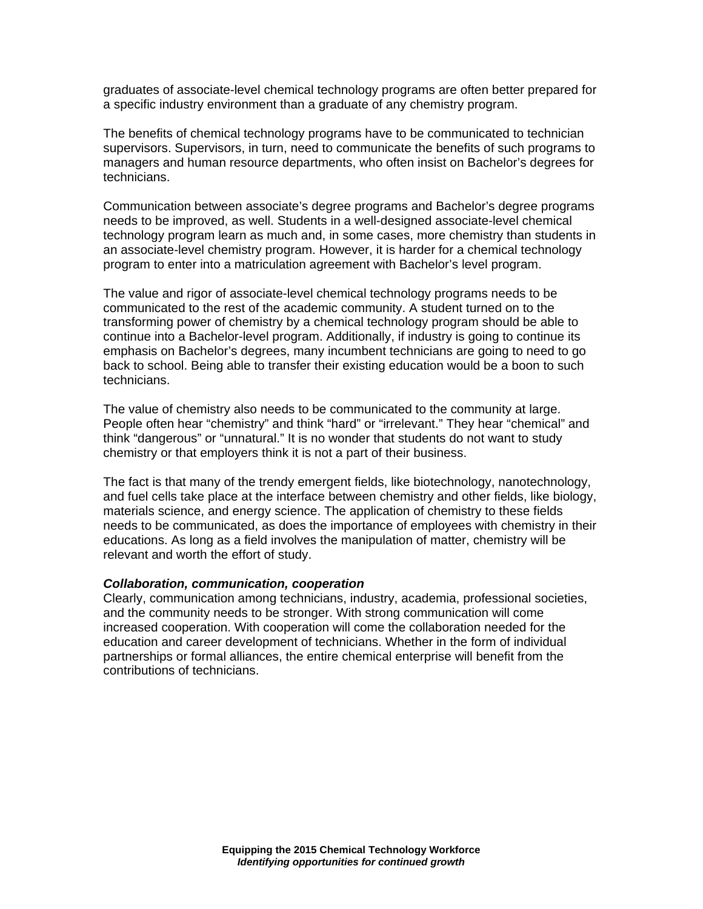graduates of associate-level chemical technology programs are often better prepared for a specific industry environment than a graduate of any chemistry program.

The benefits of chemical technology programs have to be communicated to technician supervisors. Supervisors, in turn, need to communicate the benefits of such programs to managers and human resource departments, who often insist on Bachelor's degrees for technicians.

Communication between associate's degree programs and Bachelor's degree programs needs to be improved, as well. Students in a well-designed associate-level chemical technology program learn as much and, in some cases, more chemistry than students in an associate-level chemistry program. However, it is harder for a chemical technology program to enter into a matriculation agreement with Bachelor's level program.

The value and rigor of associate-level chemical technology programs needs to be communicated to the rest of the academic community. A student turned on to the transforming power of chemistry by a chemical technology program should be able to continue into a Bachelor-level program. Additionally, if industry is going to continue its emphasis on Bachelor's degrees, many incumbent technicians are going to need to go back to school. Being able to transfer their existing education would be a boon to such technicians.

The value of chemistry also needs to be communicated to the community at large. People often hear "chemistry" and think "hard" or "irrelevant." They hear "chemical" and think "dangerous" or "unnatural." It is no wonder that students do not want to study chemistry or that employers think it is not a part of their business.

The fact is that many of the trendy emergent fields, like biotechnology, nanotechnology, and fuel cells take place at the interface between chemistry and other fields, like biology, materials science, and energy science. The application of chemistry to these fields needs to be communicated, as does the importance of employees with chemistry in their educations. As long as a field involves the manipulation of matter, chemistry will be relevant and worth the effort of study.

#### *Collaboration, communication, cooperation*

Clearly, communication among technicians, industry, academia, professional societies, and the community needs to be stronger. With strong communication will come increased cooperation. With cooperation will come the collaboration needed for the education and career development of technicians. Whether in the form of individual partnerships or formal alliances, the entire chemical enterprise will benefit from the contributions of technicians.